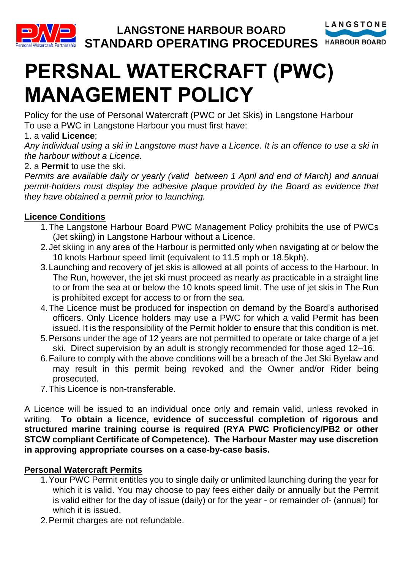

# **PERSNAL WATERCRAFT (PWC) MANAGEMENT POLICY**

Policy for the use of Personal Watercraft (PWC or Jet Skis) in Langstone Harbour To use a PWC in Langstone Harbour you must first have:

# 1. a valid **Licence**;

Any individual using a ski in Langstone must have a Licence. It is an offence to use a ski in *the harbour without a Licence.*

2. a **Permit** to use the ski.

*Permits are available daily or yearly (valid between 1 April and end of March) and annual permit-holders must display the adhesive plaque provided by the Board as evidence that they have obtained a permit prior to launching.*

# **Licence Conditions**

- 1.The Langstone Harbour Board PWC Management Policy prohibits the use of PWCs (Jet skiing) in Langstone Harbour without a Licence.
- 2.Jet skiing in any area of the Harbour is permitted only when navigating at or below the 10 knots Harbour speed limit (equivalent to 11.5 mph or 18.5kph).
- 3.Launching and recovery of jet skis is allowed at all points of access to the Harbour. In The Run, however, the jet ski must proceed as nearly as practicable in a straight line to or from the sea at or below the 10 knots speed limit. The use of jet skis in The Run is prohibited except for access to or from the sea.
- 4.The Licence must be produced for inspection on demand by the Board's authorised officers. Only Licence holders may use a PWC for which a valid Permit has been issued. It is the responsibility of the Permit holder to ensure that this condition is met.
- 5.Persons under the age of 12 years are not permitted to operate or take charge of a jet ski. Direct supervision by an adult is strongly recommended for those aged 12–16.
- 6.Failure to comply with the above conditions will be a breach of the Jet Ski Byelaw and may result in this permit being revoked and the Owner and/or Rider being prosecuted.
- 7.This Licence is non-transferable.

A Licence will be issued to an individual once only and remain valid, unless revoked in writing. **To obtain a licence, evidence of successful completion of rigorous and structured marine training course is required (RYA PWC Proficiency/PB2 or other STCW compliant Certificate of Competence). The Harbour Master may use discretion in approving appropriate courses on a case-by-case basis.**

# **Personal Watercraft Permits**

- 1.Your PWC Permit entitles you to single daily or unlimited launching during the year for which it is valid. You may choose to pay fees either daily or annually but the Permit is valid either for the day of issue (daily) or for the year - or remainder of- (annual) for which it is issued.
- 2.Permit charges are not refundable.